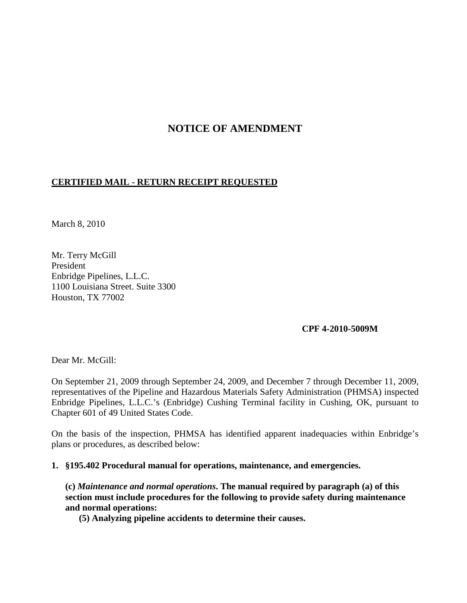# **NOTICE OF AMENDMENT**

# **CERTIFIED MAIL - RETURN RECEIPT REQUESTED**

March 8, 2010

Mr. Terry McGill President Enbridge Pipelines, L.L.C. 1100 Louisiana Street. Suite 3300 Houston, TX 77002

#### **CPF 4-2010-5009M**

Dear Mr. McGill:

On September 21, 2009 through September 24, 2009, and December 7 through December 11, 2009, representatives of the Pipeline and Hazardous Materials Safety Administration (PHMSA) inspected Enbridge Pipelines, L.L.C.'s (Enbridge) Cushing Terminal facility in Cushing, OK, pursuant to Chapter 601 of 49 United States Code.

On the basis of the inspection, PHMSA has identified apparent inadequacies within Enbridge's plans or procedures, as described below:

**1. §195.402 Procedural manual for operations, maintenance, and emergencies.**

**(c)** *Maintenance and normal operations***. The manual required by paragraph (a) of this section must include procedures for the following to provide safety during maintenance and normal operations:** 

**(5) Analyzing pipeline accidents to determine their causes.**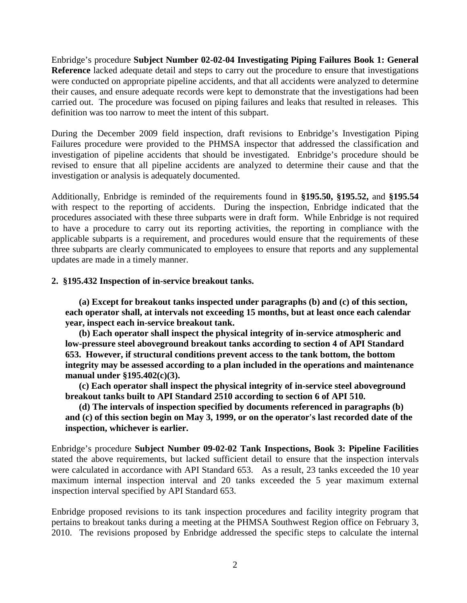Enbridge's procedure **Subject Number 02-02-04 Investigating Piping Failures Book 1: General Reference** lacked adequate detail and steps to carry out the procedure to ensure that investigations were conducted on appropriate pipeline accidents, and that all accidents were analyzed to determine their causes, and ensure adequate records were kept to demonstrate that the investigations had been carried out. The procedure was focused on piping failures and leaks that resulted in releases. This definition was too narrow to meet the intent of this subpart.

During the December 2009 field inspection, draft revisions to Enbridge's Investigation Piping Failures procedure were provided to the PHMSA inspector that addressed the classification and investigation of pipeline accidents that should be investigated. Enbridge's procedure should be revised to ensure that all pipeline accidents are analyzed to determine their cause and that the investigation or analysis is adequately documented.

Additionally, Enbridge is reminded of the requirements found in **§195.50, §195.52,** and **§195.54** with respect to the reporting of accidents. During the inspection, Enbridge indicated that the procedures associated with these three subparts were in draft form. While Enbridge is not required to have a procedure to carry out its reporting activities, the reporting in compliance with the applicable subparts is a requirement, and procedures would ensure that the requirements of these three subparts are clearly communicated to employees to ensure that reports and any supplemental updates are made in a timely manner.

## **2. §195.432 Inspection of in-service breakout tanks.**

**(a) Except for breakout tanks inspected under paragraphs (b) and (c) of this section, each operator shall, at intervals not exceeding 15 months, but at least once each calendar year, inspect each in-service breakout tank.**

**(b) Each operator shall inspect the physical integrity of in-service atmospheric and low-pressure steel aboveground breakout tanks according to section 4 of API Standard 653. However, if structural conditions prevent access to the tank bottom, the bottom integrity may be assessed according to a plan included in the operations and maintenance manual under §195.402(c)(3).**

**(c) Each operator shall inspect the physical integrity of in-service steel aboveground breakout tanks built to API Standard 2510 according to section 6 of API 510.**

**(d) The intervals of inspection specified by documents referenced in paragraphs (b) and (c) of this section begin on May 3, 1999, or on the operator's last recorded date of the inspection, whichever is earlier.**

Enbridge's procedure **Subject Number 09-02-02 Tank Inspections, Book 3: Pipeline Facilities** stated the above requirements, but lacked sufficient detail to ensure that the inspection intervals were calculated in accordance with API Standard 653. As a result, 23 tanks exceeded the 10 year maximum internal inspection interval and 20 tanks exceeded the 5 year maximum external inspection interval specified by API Standard 653.

Enbridge proposed revisions to its tank inspection procedures and facility integrity program that pertains to breakout tanks during a meeting at the PHMSA Southwest Region office on February 3, 2010. The revisions proposed by Enbridge addressed the specific steps to calculate the internal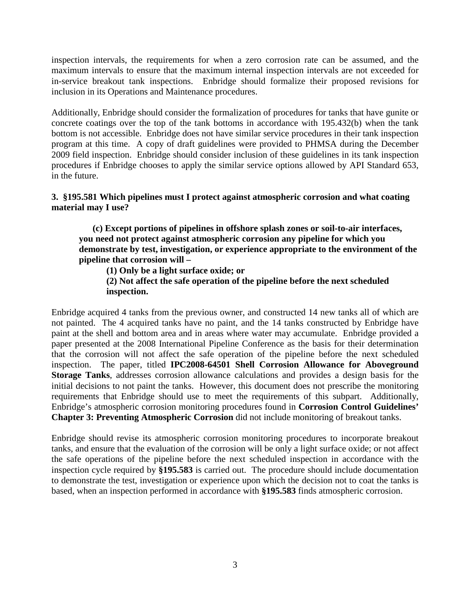inspection intervals, the requirements for when a zero corrosion rate can be assumed, and the maximum intervals to ensure that the maximum internal inspection intervals are not exceeded for in-service breakout tank inspections. Enbridge should formalize their proposed revisions for inclusion in its Operations and Maintenance procedures.

Additionally, Enbridge should consider the formalization of procedures for tanks that have gunite or concrete coatings over the top of the tank bottoms in accordance with 195.432(b) when the tank bottom is not accessible. Enbridge does not have similar service procedures in their tank inspection program at this time. A copy of draft guidelines were provided to PHMSA during the December 2009 field inspection. Enbridge should consider inclusion of these guidelines in its tank inspection procedures if Enbridge chooses to apply the similar service options allowed by API Standard 653, in the future.

### **3. §195.581 Which pipelines must I protect against atmospheric corrosion and what coating material may I use?**

**(c) Except portions of pipelines in offshore splash zones or soil-to-air interfaces, you need not protect against atmospheric corrosion any pipeline for which you demonstrate by test, investigation, or experience appropriate to the environment of the pipeline that corrosion will –**

**(1) Only be a light surface oxide; or** 

**(2) Not affect the safe operation of the pipeline before the next scheduled inspection.**

Enbridge acquired 4 tanks from the previous owner, and constructed 14 new tanks all of which are not painted. The 4 acquired tanks have no paint, and the 14 tanks constructed by Enbridge have paint at the shell and bottom area and in areas where water may accumulate. Enbridge provided a paper presented at the 2008 International Pipeline Conference as the basis for their determination that the corrosion will not affect the safe operation of the pipeline before the next scheduled inspection. The paper, titled **IPC2008-64501 Shell Corrosion Allowance for Aboveground Storage Tanks**, addresses corrosion allowance calculations and provides a design basis for the initial decisions to not paint the tanks. However, this document does not prescribe the monitoring requirements that Enbridge should use to meet the requirements of this subpart. Additionally, Enbridge's atmospheric corrosion monitoring procedures found in **Corrosion Control Guidelines' Chapter 3: Preventing Atmospheric Corrosion** did not include monitoring of breakout tanks.

Enbridge should revise its atmospheric corrosion monitoring procedures to incorporate breakout tanks, and ensure that the evaluation of the corrosion will be only a light surface oxide; or not affect the safe operations of the pipeline before the next scheduled inspection in accordance with the inspection cycle required by **§195.583** is carried out.The procedure should include documentation to demonstrate the test, investigation or experience upon which the decision not to coat the tanks is based, when an inspection performed in accordance with **§195.583** finds atmospheric corrosion.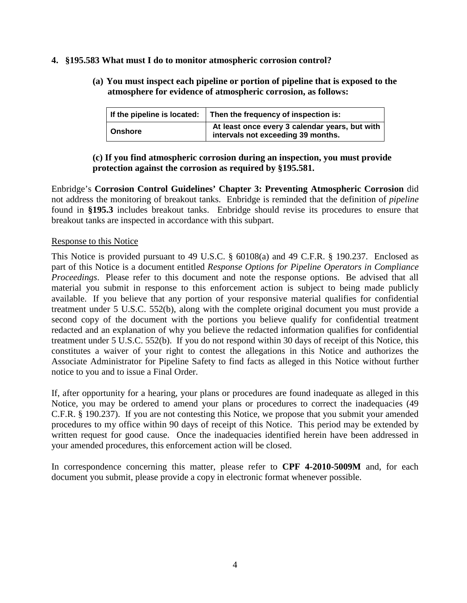#### **4. §195.583 What must I do to monitor atmospheric corrosion control?**

**(a) You must inspect each pipeline or portion of pipeline that is exposed to the atmosphere for evidence of atmospheric corrosion, as follows:**

| If the pipeline is located: | Then the frequency of inspection is:                                                 |
|-----------------------------|--------------------------------------------------------------------------------------|
| Onshore                     | At least once every 3 calendar years, but with<br>intervals not exceeding 39 months. |

# **(c) If you find atmospheric corrosion during an inspection, you must provide protection against the corrosion as required by §195.581.**

Enbridge's **Corrosion Control Guidelines' Chapter 3: Preventing Atmospheric Corrosion** did not address the monitoring of breakout tanks. Enbridge is reminded that the definition of *pipeline* found in **§195.3** includes breakout tanks. Enbridge should revise its procedures to ensure that breakout tanks are inspected in accordance with this subpart.

#### Response to this Notice

This Notice is provided pursuant to 49 U.S.C. § 60108(a) and 49 C.F.R. § 190.237. Enclosed as part of this Notice is a document entitled *Response Options for Pipeline Operators in Compliance Proceedings*. Please refer to this document and note the response options. Be advised that all material you submit in response to this enforcement action is subject to being made publicly available. If you believe that any portion of your responsive material qualifies for confidential treatment under 5 U.S.C. 552(b), along with the complete original document you must provide a second copy of the document with the portions you believe qualify for confidential treatment redacted and an explanation of why you believe the redacted information qualifies for confidential treatment under 5 U.S.C. 552(b). If you do not respond within 30 days of receipt of this Notice, this constitutes a waiver of your right to contest the allegations in this Notice and authorizes the Associate Administrator for Pipeline Safety to find facts as alleged in this Notice without further notice to you and to issue a Final Order.

If, after opportunity for a hearing, your plans or procedures are found inadequate as alleged in this Notice, you may be ordered to amend your plans or procedures to correct the inadequacies (49 C.F.R. § 190.237). If you are not contesting this Notice, we propose that you submit your amended procedures to my office within 90 days of receipt of this Notice. This period may be extended by written request for good cause. Once the inadequacies identified herein have been addressed in your amended procedures, this enforcement action will be closed.

In correspondence concerning this matter, please refer to **CPF 4-2010-5009M** and, for each document you submit, please provide a copy in electronic format whenever possible.